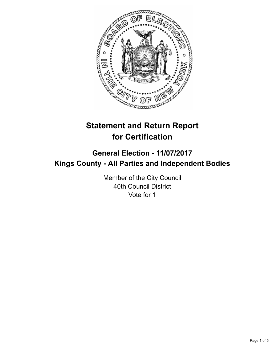

# **Statement and Return Report for Certification**

## **General Election - 11/07/2017 Kings County - All Parties and Independent Bodies**

Member of the City Council 40th Council District Vote for 1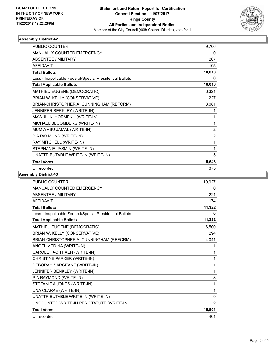

### **Assembly District 42**

| <b>PUBLIC COUNTER</b>                                    | 9,706          |
|----------------------------------------------------------|----------------|
| <b>MANUALLY COUNTED EMERGENCY</b>                        | 0              |
| <b>ABSENTEE / MILITARY</b>                               | 207            |
| <b>AFFIDAVIT</b>                                         | 105            |
| <b>Total Ballots</b>                                     | 10,018         |
| Less - Inapplicable Federal/Special Presidential Ballots | 0              |
| <b>Total Applicable Ballots</b>                          | 10,018         |
| MATHIEU EUGENE (DEMOCRATIC)                              | 6,321          |
| BRIAN W. KELLY (CONSERVATIVE)                            | 227            |
| BRIAN-CHRISTOPHER A. CUNNINGHAM (REFORM)                 | 3,081          |
| JENNIFER BERKLEY (WRITE-IN)                              | 1              |
| MAWULI K. HORMEKU (WRITE-IN)                             | 1              |
| MICHAEL BLOOMBERG (WRITE-IN)                             | 1              |
| MUMIA ABU JAMAL (WRITE-IN)                               | $\overline{2}$ |
| PIA RAYMOND (WRITE-IN)                                   | $\overline{2}$ |
| RAY MITCHELL (WRITE-IN)                                  | 1              |
| STEPHANIE JASMIN (WRITE-IN)                              | 1              |
| UNATTRIBUTABLE WRITE-IN (WRITE-IN)                       | 5              |
| <b>Total Votes</b>                                       | 9,643          |
| Unrecorded                                               | 375            |

### **Assembly District 43**

| <b>PUBLIC COUNTER</b>                                    | 10,927 |
|----------------------------------------------------------|--------|
| MANUALLY COUNTED EMERGENCY                               | 0      |
| <b>ABSENTEE / MILITARY</b>                               | 221    |
| <b>AFFIDAVIT</b>                                         | 174    |
| <b>Total Ballots</b>                                     | 11,322 |
| Less - Inapplicable Federal/Special Presidential Ballots | 0      |
| <b>Total Applicable Ballots</b>                          | 11,322 |
| MATHIEU EUGENE (DEMOCRATIC)                              | 6,500  |
| BRIAN W. KELLY (CONSERVATIVE)                            | 294    |
| BRIAN-CHRISTOPHER A. CUNNINGHAM (REFORM)                 | 4,041  |
| ANGEL MEDINA (WRITE-IN)                                  | 1      |
| CAROLE FACITHAEN (WRITE-IN)                              | 1      |
| CHRISTINE PARKER (WRITE-IN)                              | 1      |
| DEBORAH SARGEANT (WRITE-IN)                              | 1      |
| JENNIFER BENKLEY (WRITE-IN)                              | 1      |
| PIA RAYMOND (WRITE-IN)                                   | 8      |
| STEFANIE A JONES (WRITE-IN)                              | 1      |
| UNA CLARKE (WRITE-IN)                                    | 1      |
| UNATTRIBUTABLE WRITE-IN (WRITE-IN)                       | 9      |
| UNCOUNTED WRITE-IN PER STATUTE (WRITE-IN)                | 2      |
| <b>Total Votes</b>                                       | 10,861 |
| Unrecorded                                               | 461    |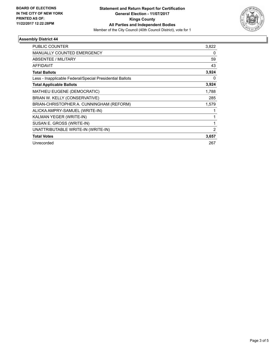

### **Assembly District 44**

| PUBLIC COUNTER                                           | 3,822 |
|----------------------------------------------------------|-------|
| <b>MANUALLY COUNTED EMERGENCY</b>                        | 0     |
| <b>ABSENTEE / MILITARY</b>                               | 59    |
| <b>AFFIDAVIT</b>                                         | 43    |
| <b>Total Ballots</b>                                     | 3,924 |
| Less - Inapplicable Federal/Special Presidential Ballots | 0     |
| <b>Total Applicable Ballots</b>                          | 3,924 |
| <b>MATHIEU EUGENE (DEMOCRATIC)</b>                       | 1,788 |
| BRIAN W. KELLY (CONSERVATIVE)                            | 285   |
| BRIAN-CHRISTOPHER A. CUNNINGHAM (REFORM)                 | 1,579 |
| ALICKA AMPRY-SAMUEL (WRITE-IN)                           |       |
| KALMAN YEGER (WRITE-IN)                                  |       |
| SUSAN E. GROSS (WRITE-IN)                                |       |
| UNATTRIBUTABLE WRITE-IN (WRITE-IN)                       | 2     |
| <b>Total Votes</b>                                       | 3,657 |
| Unrecorded                                               | 267   |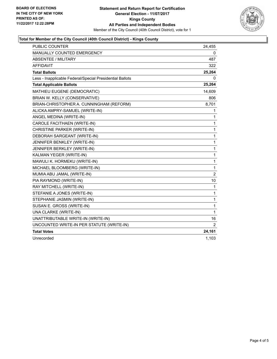

### **Total for Member of the City Council (40th Council District) - Kings County**

| PUBLIC COUNTER                                           | 24,455         |
|----------------------------------------------------------|----------------|
| <b>MANUALLY COUNTED EMERGENCY</b>                        | 0              |
| <b>ABSENTEE / MILITARY</b>                               | 487            |
| <b>AFFIDAVIT</b>                                         | 322            |
| <b>Total Ballots</b>                                     | 25,264         |
| Less - Inapplicable Federal/Special Presidential Ballots | 0              |
| <b>Total Applicable Ballots</b>                          | 25,264         |
| MATHIEU EUGENE (DEMOCRATIC)                              | 14,609         |
| BRIAN W. KELLY (CONSERVATIVE)                            | 806            |
| BRIAN-CHRISTOPHER A. CUNNINGHAM (REFORM)                 | 8,701          |
| ALICKA AMPRY-SAMUEL (WRITE-IN)                           | 1              |
| ANGEL MEDINA (WRITE-IN)                                  | $\mathbf{1}$   |
| CAROLE FACITHAEN (WRITE-IN)                              | 1              |
| CHRISTINE PARKER (WRITE-IN)                              | 1              |
| DEBORAH SARGEANT (WRITE-IN)                              | 1              |
| JENNIFER BENKLEY (WRITE-IN)                              | $\mathbf 1$    |
| JENNIFER BERKLEY (WRITE-IN)                              | 1              |
| KALMAN YEGER (WRITE-IN)                                  | $\mathbf{1}$   |
| MAWULI K. HORMEKU (WRITE-IN)                             | $\mathbf{1}$   |
| MICHAEL BLOOMBERG (WRITE-IN)                             | $\mathbf{1}$   |
| MUMIA ABU JAMAL (WRITE-IN)                               | $\overline{2}$ |
| PIA RAYMOND (WRITE-IN)                                   | 10             |
| RAY MITCHELL (WRITE-IN)                                  | 1              |
| STEFANIE A JONES (WRITE-IN)                              | 1              |
| STEPHANIE JASMIN (WRITE-IN)                              | 1              |
| SUSAN E. GROSS (WRITE-IN)                                | $\mathbf 1$    |
| UNA CLARKE (WRITE-IN)                                    | $\mathbf{1}$   |
| UNATTRIBUTABLE WRITE-IN (WRITE-IN)                       | 16             |
| UNCOUNTED WRITE-IN PER STATUTE (WRITE-IN)                | 2              |
| <b>Total Votes</b>                                       | 24,161         |
| Unrecorded                                               | 1,103          |